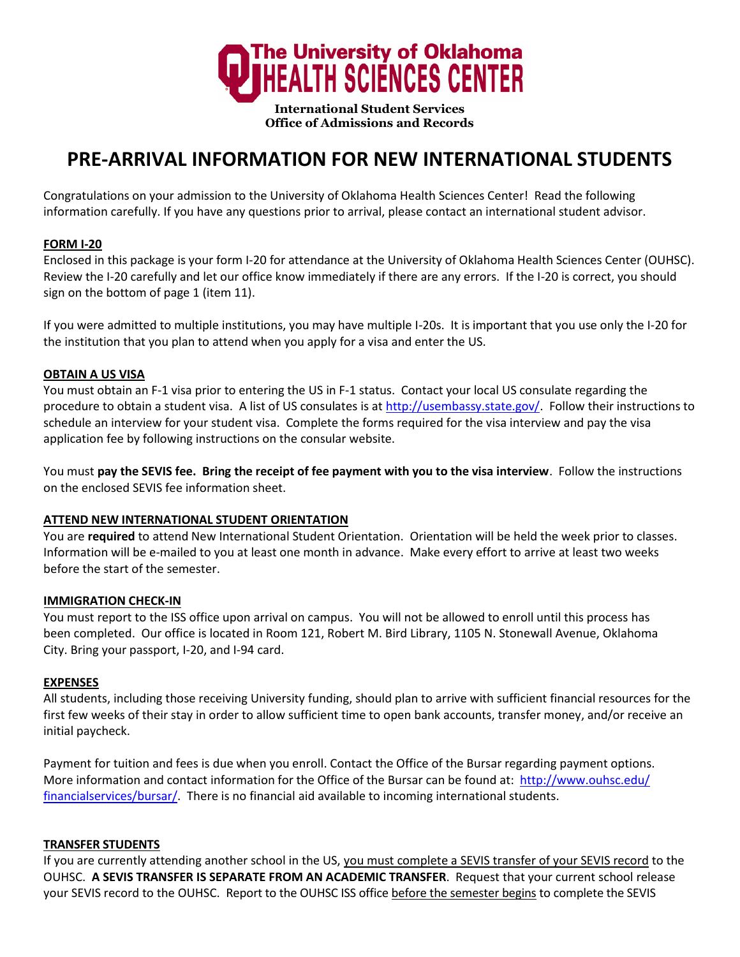

**International Student Services Office of Admissions and Records** 

# **PRE-ARRIVAL INFORMATION FOR NEW INTERNATIONAL STUDENTS**

Congratulations on your admission to the University of Oklahoma Health Sciences Center! Read the following information carefully. If you have any questions prior to arrival, please contact an international student advisor.

# **FORM I-20**

Enclosed in this package is your form I-20 for attendance at the University of Oklahoma Health Sciences Center (OUHSC). Review the I-20 carefully and let our office know immediately if there are any errors. If the I-20 is correct, you should sign on the bottom of page 1 (item 11).

If you were admitted to multiple institutions, you may have multiple I-20s. It is important that you use only the I-20 for the institution that you plan to attend when you apply for a visa and enter the US.

## **OBTAIN A US VISA**

You must obtain an F-1 visa prior to entering the US in F-1 status. Contact your local US consulate regarding the procedure to obtain a student visa. A list of US consulates is at [http://usembassy.state.gov/.](http://usembassy.state.gov/) Follow their instructions to schedule an interview for your student visa. Complete the forms required for the visa interview and pay the visa application fee by following instructions on the consular website.

You must **pay the SEVIS fee. Bring the receipt of fee payment with you to the visa interview**. Follow the instructions on the enclosed SEVIS fee information sheet.

## **ATTEND NEW INTERNATIONAL STUDENT ORIENTATION**

You are **required** to attend New International Student Orientation. Orientation will be held the week prior to classes. Information will be e-mailed to you at least one month in advance. Make every effort to arrive at least two weeks before the start of the semester.

## **IMMIGRATION CHECK-IN**

You must report to the ISS office upon arrival on campus. You will not be allowed to enroll until this process has been completed. Our office is located in Room 121, Robert M. Bird Library, 1105 N. Stonewall Avenue, Oklahoma City. Bring your passport, I-20, and I-94 card.

## **EXPENSES**

All students, including those receiving University funding, should plan to arrive with sufficient financial resources for the first few weeks of their stay in order to allow sufficient time to open bank accounts, transfer money, and/or receive an initial paycheck.

Payment for tuition and fees is due when you enroll. Contact the Office of the Bursar regarding payment options. More information and contact information for the Office of the Bursar can be found at: http://www.ouhsc.edu/ financialservices/bursar/[. There is no financial aid available](http://www.ouhsc.edu/financialservices/Bursar/Bursar.asp) to incoming international students.

## **TRANSFER STUDENTS**

If you are currently attending another school in the US, you must complete a SEVIS transfer of your SEVIS record to the OUHSC. **A SEVIS TRANSFER IS SEPARATE FROM AN ACADEMIC TRANSFER**. Request that your current school release your SEVIS record to the OUHSC. Report to the OUHSC ISS office before the semester begins to complete the SEVIS